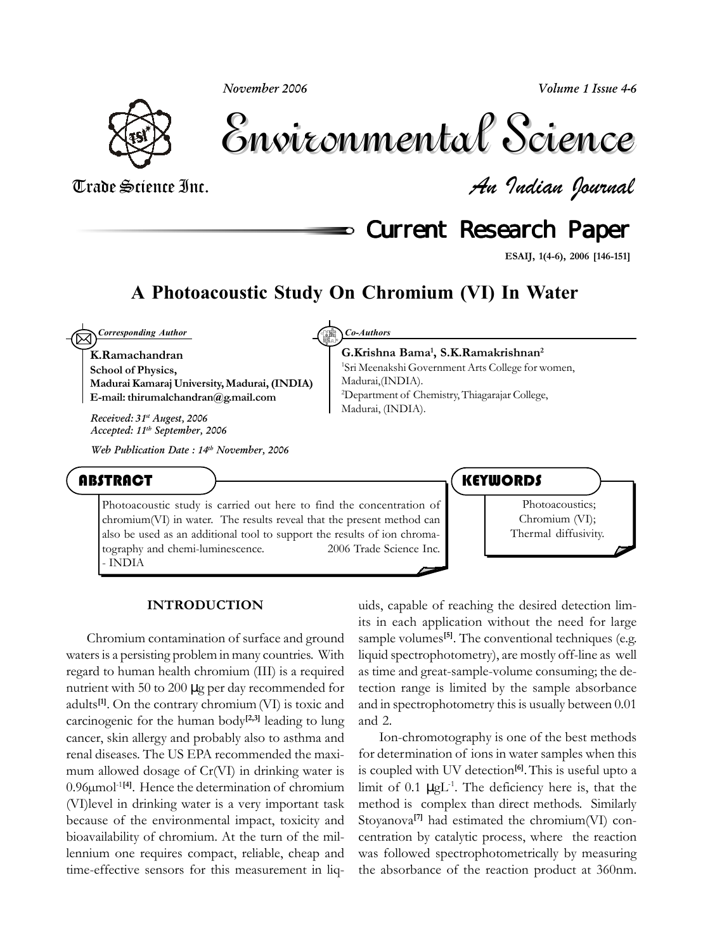*November 2006*

*Volume 1 Issue 4-6*



Environmental Science Environmental Science

Trade Science Inc. *An Indian Journal*

**Current Research Paper** 

**ESAIJ, 1(4-6), 2006 [146-151]**

### **A Photoacoustic Study On Chromium (VI) In Water**

**K.Ramachandran School of Physics,**  $\boxtimes$ *Corresponding Author Co-Authors*

**Madurai Kamaraj University, Madurai, (INDIA) E-mail: thirumalchandran@g.mail.com**

*Received: 31st Augest, 2006 Accepted: 11th September, 2006*

*Web Publication Date : 14th November, 2006*

**G.Krishna Bama1 , S.K.Ramakrishnan2** 1 Sri Meenakshi Government Arts College for women, Madurai,(INDIA). 2 Department of Chemistry, Thiagarajar College, Madurai, (INDIA).

ABSTRACT

Photoacoustic study is carried out here to find the concentration of chromium(VI) in water. The results reveal that the present method can also be used as an additional tool to support the results of ion chromatography and chemi-luminescence.  $\degree$  2006 Trade Science Inc. - INDIA

**KEYWORDS** 

Photoacoustics; Chromium (VI); Thermal diffusivity.

#### **INTRODUCTION**

Chromium contamination of surface and ground waters is a persisting problem in many countries. With regard to human health chromium (III) is a required nutrient with 50 to 200 µg per day recommended for adults**[1]**. On the contrary chromium(VI) is toxic and carcinogenic for the human body<sup>[2,3]</sup> leading to lung cancer, skin allergy and probably also to asthma and renal diseases. The US EPA recommended the maximum allowed dosage of Cr(VI) in drinking water is 0.96µmol-1**[4]**. Hence the determination of chromium (VI)level in drinking water is a very important task because of the environmental impact, toxicity and bioavailability of chromium. At the turn of the millennium one requires compact, reliable, cheap and time-effective sensors for this measurement in liq-

uids, capable of reaching the desired detection limits in each application without the need for large sample volumes<sup>[5]</sup>. The conventional techniques (e.g. liquid spectrophotometry), are mostly off-line as well as time and great-sample-volume consuming; the detection range is limited by the sample absorbance and in spectrophotometry this is usually between 0.01 and 2.

Ion-chromotography is one of the best methods for determination of ions in water samples when this is coupled with UV detection**[6]**.This is useful upto a limit of 0.1  $\mu g L^{-1}$ . The deficiency here is, that the method is complex than direct methods. Similarly Stoyanova**[7]** had estimated the chromium(VI) concentration by catalytic process, where the reaction was followed spectrophotometrically by measuring the absorbance of the reaction product at 360nm.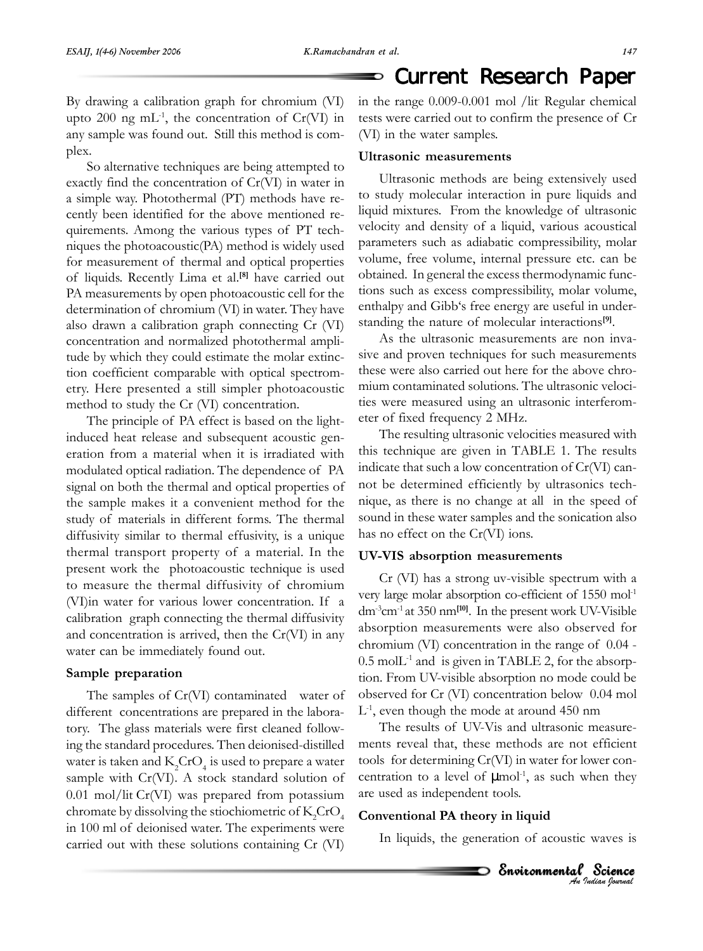#### Current Research Paper ⅁

By drawing a calibration graph for chromium (VI) upto 200 ng mL<sup>-1</sup>, the concentration of Cr(VI) in any sample was found out. Still this method is complex.

So alternative techniques are being attempted to exactly find the concentration of Cr(VI) in water in a simple way. Photothermal (PT) methods have recently been identified for the above mentioned requirements. Among the various types of PT techniques the photoacoustic(PA) method is widely used for measurement of thermal and optical properties of liquids. Recently Lima et al.**[8]** have carried out PA measurements by open photoacoustic cell for the determination of chromium (VI) in water. They have also drawn a calibration graph connecting Cr (VI) concentration and normalized photothermal amplitude by which they could estimate the molar extinction coefficient comparable with optical spectrometry. Here presented a still simpler photoacoustic method to study the Cr (VI) concentration.

The principle of PA effect is based on the lightinduced heat release and subsequent acoustic generation from a material when it is irradiated with modulated optical radiation. The dependence of PA signal on both the thermal and optical properties of the sample makes it a convenient method for the study of materials in different forms. The thermal diffusivity similar to thermal effusivity, is a unique thermal transport property of a material. In the present work the photoacoustic technique is used to measure the thermal diffusivity of chromium (VI)in water for various lower concentration. If a calibration graph connecting the thermal diffusivity and concentration is arrived, then the Cr(VI) in any water can be immediately found out.

#### **Sample preparation**

The samples of Cr(VI) contaminated water of different concentrations are prepared in the laboratory. The glass materials were first cleaned following the standard procedures. Then deionised-distilled water is taken and  $\mathrm{K_2CrO_4}$  is used to prepare a water sample with Cr(VI). A stock standard solution of 0.01 mol/lit Cr(VI) was prepared from potassium chromate by dissolving the stiochiometric of  $\mathrm{K_2CrO}_4$ in 100 ml of deionised water. The experiments were carried out with these solutions containing Cr (VI)

in the range 0.009-0.001 mol /lit. Regular chemical tests were carried out to confirm the presence of Cr (VI) in the water samples.

#### **Ultrasonic measurements**

Ultrasonic methods are being extensively used to study molecular interaction in pure liquids and liquid mixtures. From the knowledge of ultrasonic velocity and density of a liquid, various acoustical parameters such as adiabatic compressibility, molar volume, free volume, internal pressure etc. can be obtained. In general the excess thermodynamic functions such as excess compressibility, molar volume, enthalpy and Gibb's free energy are useful in understanding the nature of molecular interactions**[9]**.

As the ultrasonic measurements are non invasive and proven techniques for such measurements these were also carried out here for the above chromium contaminated solutions. The ultrasonic velocities were measured using an ultrasonic interferometer of fixed frequency 2 MHz.

The resulting ultrasonic velocities measured with this technique are given in TABLE 1. The results indicate that such a low concentration of Cr(VI) cannot be determined efficiently by ultrasonics technique, as there is no change at all in the speed of sound in these water samples and the sonication also has no effect on the Cr(VI) ions.

#### **UV-VIS absorption measurements**

Cr (VI) has a strong uv-visible spectrum with a very large molar absorption co-efficient of 1550 mol-1 dm-3cm-1 at 350 nm**[10]**. In the present work UV-Visible absorption measurements were also observed for chromium (VI) concentration in the range of 0.04 -  $0.5$  mol $L<sup>-1</sup>$  and is given in TABLE 2, for the absorption. From UV-visible absorption no mode could be observed for Cr (VI) concentration below 0.04 mol  $L<sup>-1</sup>$ , even though the mode at around 450 nm

The results of UV-Vis and ultrasonic measurements reveal that, these methods are not efficient tools for determining Cr(VI) in water for lower concentration to a level of  $\mu$ mol<sup>-1</sup>, as such when they are used as independent tools.

#### **Conventional PA theory in liquid**

In liquids, the generation of acoustic waves is

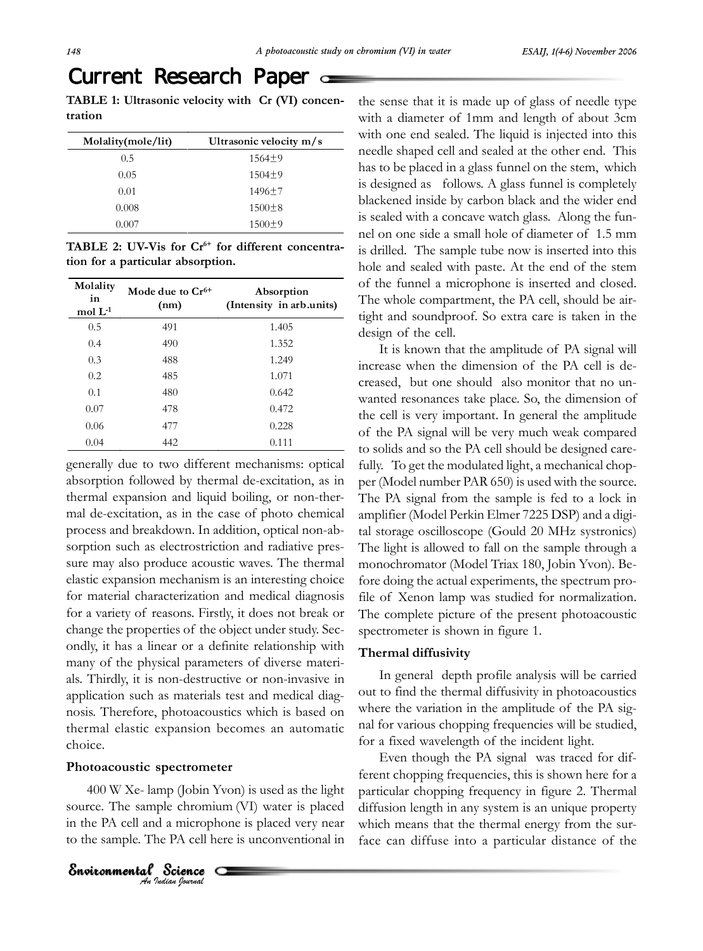# Current Research Paper a

**TABLE 1: Ultrasonic velocity with Cr (VI) concentration**

| Molality(mole/lit) | Ultrasonic velocity m/s |
|--------------------|-------------------------|
| 0.5                | $1564 \pm 9$            |
| 0.05               | $1504 \pm 9$            |
| 0.01               | $1496 \pm 7$            |
| 0.008              | $1500 \pm 8$            |
| 0.007              | 1500±9                  |

TABLE 2: UV-Vis for Cr<sup>6+</sup> for different concentra**tion for a particular absorption.**

| Molality<br>in<br>mol $L$ -1 | Mode due to $Cr^{6+}$<br>(nm) | Absorption<br>(Intensity in arb.units) |
|------------------------------|-------------------------------|----------------------------------------|
| 0.5                          | 491                           | 1.405                                  |
| 0.4                          | 490                           | 1.352                                  |
| 0.3                          | 488                           | 1.249                                  |
| 0.2                          | 485                           | 1.071                                  |
| 0.1                          | 480                           | 0.642                                  |
| 0.07                         | 478                           | 0.472                                  |
| 0.06                         | 477                           | 0.228                                  |
| 0.04                         | 442                           | 0.111                                  |

generally due to two different mechanisms: optical absorption followed by thermal de-excitation, as in thermal expansion and liquid boiling, or non-thermal de-excitation, as in the case of photo chemical process and breakdown. In addition, optical non-absorption such as electrostriction and radiative pressure may also produce acoustic waves. The thermal elastic expansion mechanism is an interesting choice for material characterization and medical diagnosis for a variety of reasons. Firstly, it does not break or change the properties of the object under study. Secondly, it has a linear or a definite relationship with many of the physical parameters of diverse materials. Thirdly, it is non-destructive or non-invasive in application such as materials test and medical diagnosis. Therefore, photoacoustics which is based on thermal elastic expansion becomes an automatic choice.

#### **Photoacoustic spectrometer**

400 W Xe- lamp (Jobin Yvon) is used as the light source. The sample chromium (VI) water is placed in the PA cell and a microphone is placed very near to the sample. The PA cell here is unconventional in

*An Indian Journal* Environmental Science

the sense that it is made up of glass of needle type with a diameter of 1mm and length of about 3cm with one end sealed. The liquid is injected into this needle shaped cell and sealed at the other end. This has to be placed in a glass funnel on the stem, which is designed as follows. A glass funnel is completely blackened inside by carbon black and the wider end is sealed with a concave watch glass. Along the funnel on one side a small hole of diameter of 1.5 mm is drilled. The sample tube now is inserted into this hole and sealed with paste. At the end of the stem of the funnel a microphone is inserted and closed. The whole compartment, the PA cell, should be airtight and soundproof. So extra care is taken in the design of the cell.

It is known that the amplitude of PA signal will increase when the dimension of the PA cell is decreased, but one should also monitor that no unwanted resonances take place. So, the dimension of the cell is very important. In general the amplitude of the PA signal will be very much weak compared to solids and so the PA cell should be designed carefully. To get the modulated light, a mechanical chopper (Model number PAR 650) is used with the source. The PA signal from the sample is fed to a lock in amplifier (Model Perkin Elmer 7225 DSP) and a digital storage oscilloscope (Gould 20 MHz systronics) The light is allowed to fall on the sample through a monochromator (Model Triax 180, Jobin Yvon). Before doing the actual experiments, the spectrum profile of Xenon lamp was studied for normalization. The complete picture of the present photoacoustic spectrometer is shown in figure 1.

### **Thermal diffusivity**

In general depth profile analysis will be carried out to find the thermal diffusivity in photoacoustics where the variation in the amplitude of the PA signal for various chopping frequencies will be studied, for a fixed wavelength of the incident light.

Even though the PA signal was traced for different chopping frequencies, this is shown here for a particular chopping frequency in figure 2. Thermal diffusion length in any system is an unique property which means that the thermal energy from the surface can diffuse into a particular distance of the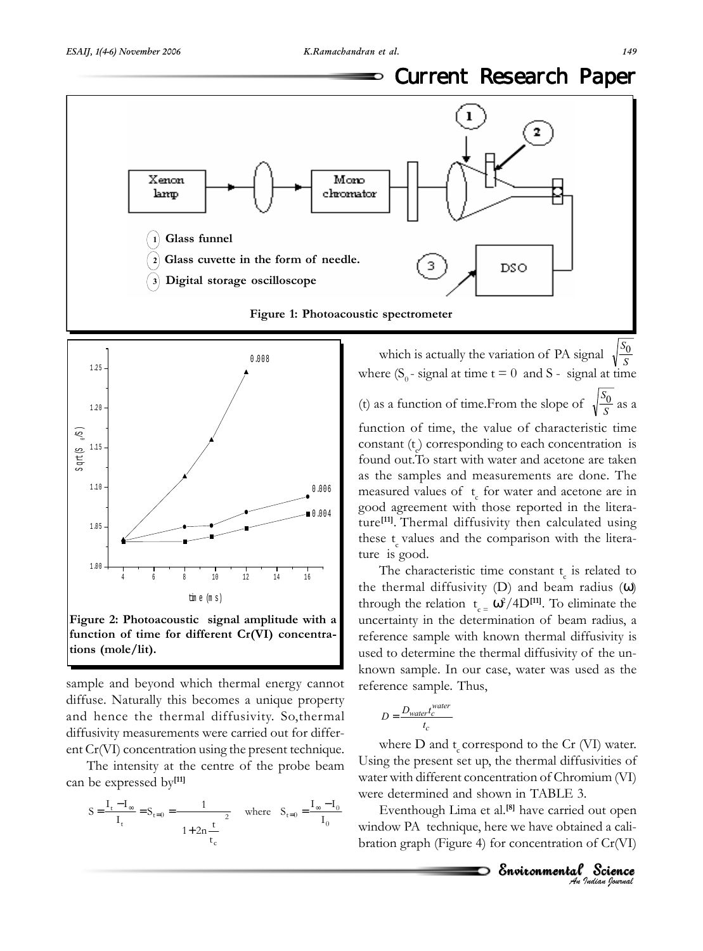⅁





## **function of time for different Cr(VI) concentrations (mole/lit).**

sample and beyond which thermal energy cannot diffuse. Naturally this becomes a unique property and hence the thermal diffusivity. So,thermal diffusivity measurements were carried out for different Cr(VI) concentration using the present technique.

The intensity at the centre of the probe beam can be expressed by**[11]**

$$
S = \frac{I_t - I_{\infty}}{I_t} = S_{t=0} = \frac{1}{\left(1 + 2n\frac{t}{t_c}\right)^2} \quad \text{where} \quad S_{t=0} = \frac{I_{\infty} - I_0}{I_0}
$$

which is actually the variation of PA signal  $\sqrt{ }$ *S*0 where  $(S_0 - signal at time t = 0 and S - signal at time$ (t) as a function of time.From the slope of  $\sqrt{\frac{S_0}{S}}$  as a

function of time, the value of characteristic time constant (t<sub>c</sub>) corresponding to each concentration is found out.To start with water and acetone are taken as the samples and measurements are done. The measured values of  $t<sub>c</sub>$  for water and acetone are in good agreement with those reported in the literature**[11]**. Thermal diffusivity then calculated using these  $t_{\rm s}$  values and the comparison with the literature is good.

The characteristic time constant  $t_c$  is related to the thermal diffusivity (D) and beam radius (ω) through the relation  $t_{c} = \omega^2 / 4D^{[11]}$ . To eliminate the uncertainty in the determination of beam radius, a reference sample with known thermal diffusivity is used to determine the thermal diffusivity of the unknown sample. In our case, water was used as the reference sample. Thus,

$$
D = \frac{D_{water}t_c^{water}}{t_c}
$$

where  $D$  and  $t_c$  correspond to the Cr (VI) water. Using the present set up, the thermal diffusivities of water with different concentration of Chromium (VI) were determined and shown in TABLE 3.

Eventhough Lima et al.**[8]** have carried out open window PA technique, here we have obtained a calibration graph (Figure 4) for concentration of Cr(VI)

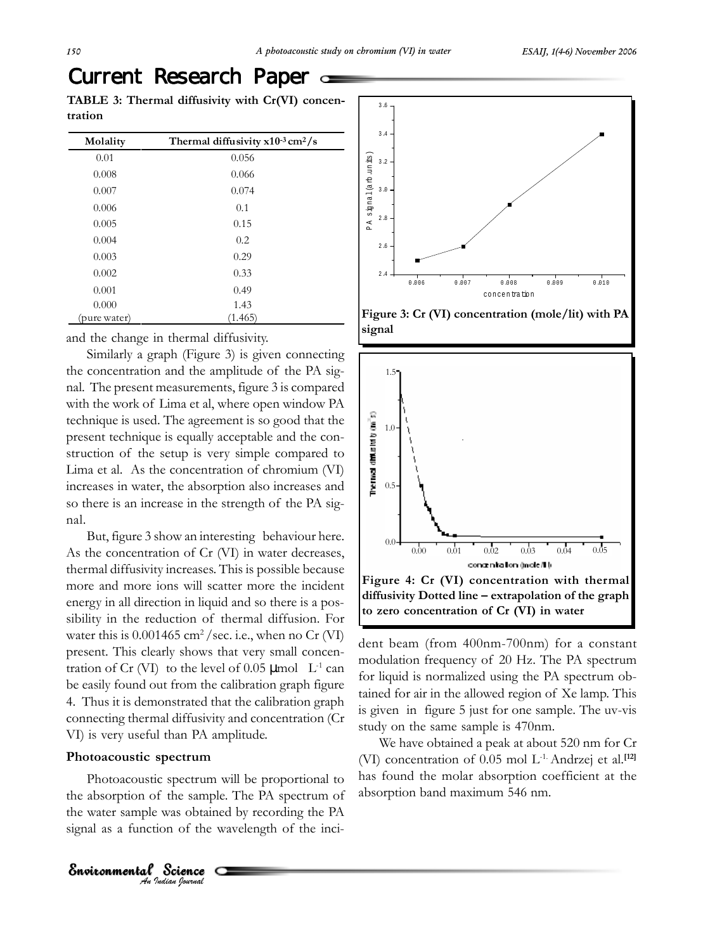# Current Research Paper

**TABLE 3: Thermal diffusivity with Cr(VI) concentration**

| Molality     | Thermal diffusivity $x10^{-3}$ cm <sup>2</sup> /s |
|--------------|---------------------------------------------------|
| 0.01         | 0.056                                             |
| 0.008        | 0.066                                             |
| 0.007        | 0.074                                             |
| 0.006        | 0.1                                               |
| 0.005        | 0.15                                              |
| 0.004        | 0.2                                               |
| 0.003        | 0.29                                              |
| 0.002        | 0.33                                              |
| 0.001        | 0.49                                              |
| 0.000        | 1.43                                              |
| (pure water) | (1.465)                                           |

and the change in thermal diffusivity.

Similarly a graph (Figure 3) is given connecting the concentration and the amplitude of the PA signal. The present measurements, figure 3 is compared with the work of Lima et al, where open window PA technique is used. The agreement is so good that the present technique is equally acceptable and the construction of the setup is very simple compared to Lima et al. As the concentration of chromium (VI) increases in water, the absorption also increases and so there is an increase in the strength of the PA signal.

But, figure 3 show an interesting behaviour here. As the concentration of Cr (VI) in water decreases, thermal diffusivity increases. This is possible because more and more ions will scatter more the incident energy in all direction in liquid and so there is a possibility in the reduction of thermal diffusion. For water this is  $0.001465$  cm<sup>2</sup>/sec. i.e., when no Cr (VI) present. This clearly shows that very small concentration of Cr (VI) to the level of 0.05  $\mu$ mol L<sup>-1</sup> can be easily found out from the calibration graph figure 4. Thus it is demonstrated that the calibration graph connecting thermal diffusivity and concentration (Cr VI) is very useful than PA amplitude.

#### **Photoacoustic spectrum**

Environmental Science

Photoacoustic spectrum will be proportional to the absorption of the sample. The PA spectrum of the water sample was obtained by recording the PA signal as a function of the wavelength of the inci-

*An Indian Journal*







dent beam (from 400nm-700nm) for a constant modulation frequency of 20 Hz. The PA spectrum for liquid is normalized using the PA spectrum obtained for air in the allowed region of Xe lamp. This is given in figure 5 just for one sample. The uv-vis study on the same sample is 470nm.

We have obtained a peak at about 520 nm for Cr (VI) concentration of 0.05 mol L-1. Andrzej et al.**[12]** has found the molar absorption coefficient at the absorption band maximum 546 nm.